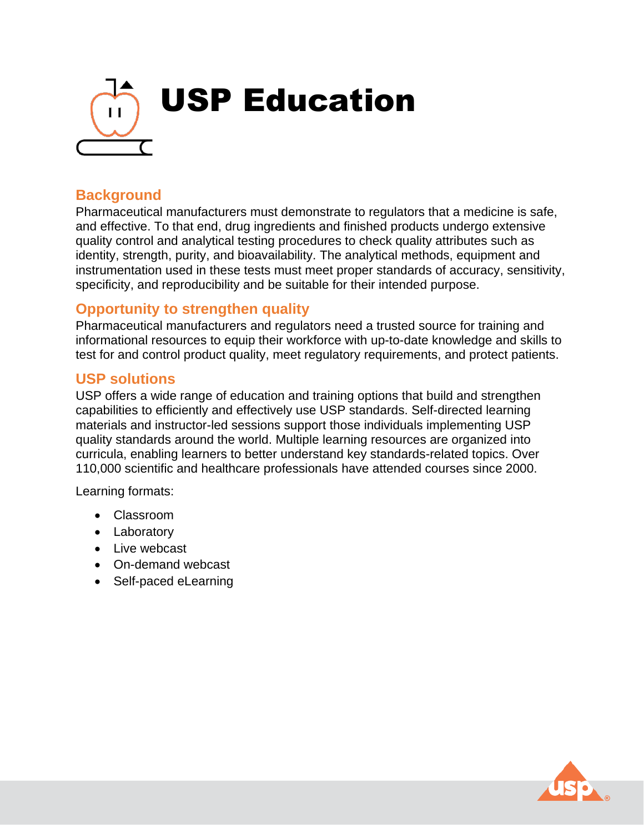

## **Background**

Pharmaceutical manufacturers must demonstrate to regulators that a medicine is safe, and effective. To that end, drug ingredients and finished products undergo extensive quality control and analytical testing procedures to check quality attributes such as identity, strength, purity, and bioavailability. The analytical methods, equipment and instrumentation used in these tests must meet proper standards of accuracy, sensitivity, specificity, and reproducibility and be suitable for their intended purpose.

### **Opportunity to strengthen quality**

Pharmaceutical manufacturers and regulators need a trusted source for training and informational resources to equip their workforce with up-to-date knowledge and skills to test for and control product quality, meet regulatory requirements, and protect patients.

#### **USP solutions**

USP offers a wide range of education and training options that build and strengthen capabilities to efficiently and effectively use USP standards. Self-directed learning materials and instructor-led sessions support those individuals implementing USP quality standards around the world. Multiple learning resources are organized into curricula, enabling learners to better understand key standards-related topics. Over 110,000 scientific and healthcare professionals have attended courses since 2000.

Learning formats:

- Classroom
- Laboratory
- Live webcast
- On-demand webcast
- Self-paced eLearning